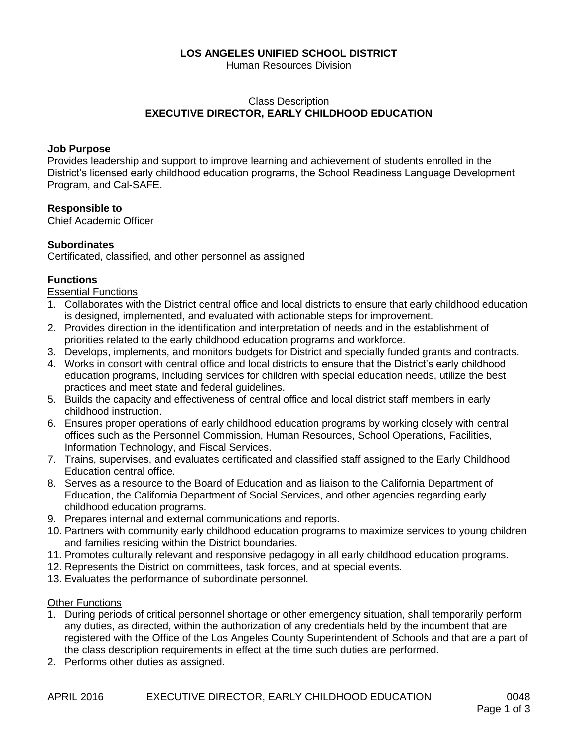## **LOS ANGELES UNIFIED SCHOOL DISTRICT**

Human Resources Division

#### Class Description **EXECUTIVE DIRECTOR, EARLY CHILDHOOD EDUCATION**

#### **Job Purpose**

Provides leadership and support to improve learning and achievement of students enrolled in the District's licensed early childhood education programs, the School Readiness Language Development Program, and Cal-SAFE.

#### **Responsible to**

Chief Academic Officer

#### **Subordinates**

Certificated, classified, and other personnel as assigned

### **Functions**

Essential Functions

- 1. Collaborates with the District central office and local districts to ensure that early childhood education is designed, implemented, and evaluated with actionable steps for improvement.
- 2. Provides direction in the identification and interpretation of needs and in the establishment of priorities related to the early childhood education programs and workforce.
- 3. Develops, implements, and monitors budgets for District and specially funded grants and contracts.
- 4. Works in consort with central office and local districts to ensure that the District's early childhood education programs, including services for children with special education needs, utilize the best practices and meet state and federal guidelines.
- 5. Builds the capacity and effectiveness of central office and local district staff members in early childhood instruction.
- 6. Ensures proper operations of early childhood education programs by working closely with central offices such as the Personnel Commission, Human Resources, School Operations, Facilities, Information Technology, and Fiscal Services.
- 7. Trains, supervises, and evaluates certificated and classified staff assigned to the Early Childhood Education central office.
- 8. Serves as a resource to the Board of Education and as liaison to the California Department of Education, the California Department of Social Services, and other agencies regarding early childhood education programs.
- 9. Prepares internal and external communications and reports.
- 10. Partners with community early childhood education programs to maximize services to young children and families residing within the District boundaries.
- 11. Promotes culturally relevant and responsive pedagogy in all early childhood education programs.
- 12. Represents the District on committees, task forces, and at special events.
- 13. Evaluates the performance of subordinate personnel.

#### Other Functions

- 1. During periods of critical personnel shortage or other emergency situation, shall temporarily perform any duties, as directed, within the authorization of any credentials held by the incumbent that are registered with the Office of the Los Angeles County Superintendent of Schools and that are a part of the class description requirements in effect at the time such duties are performed.
- 2. Performs other duties as assigned.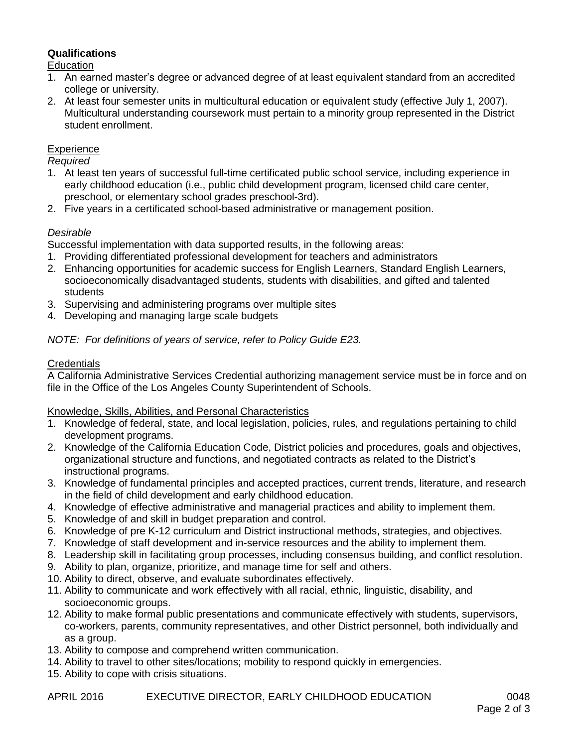# **Qualifications**

### Education

- 1. An earned master's degree or advanced degree of at least equivalent standard from an accredited college or university.
- 2. At least four semester units in multicultural education or equivalent study (effective July 1, 2007). Multicultural understanding coursework must pertain to a minority group represented in the District student enrollment.

# **Experience**

*Required*

- 1. At least ten years of successful full-time certificated public school service, including experience in early childhood education (i.e., public child development program, licensed child care center, preschool, or elementary school grades preschool-3rd).
- 2. Five years in a certificated school-based administrative or management position.

# *Desirable*

Successful implementation with data supported results, in the following areas:

- 1. Providing differentiated professional development for teachers and administrators
- 2. Enhancing opportunities for academic success for English Learners, Standard English Learners, socioeconomically disadvantaged students, students with disabilities, and gifted and talented students
- 3. Supervising and administering programs over multiple sites
- 4. Developing and managing large scale budgets

# *NOTE: For definitions of years of service, refer to Policy Guide E23.*

### **Credentials**

A California Administrative Services Credential authorizing management service must be in force and on file in the Office of the Los Angeles County Superintendent of Schools.

#### Knowledge, Skills, Abilities, and Personal Characteristics

- 1. Knowledge of federal, state, and local legislation, policies, rules, and regulations pertaining to child development programs.
- 2. Knowledge of the California Education Code, District policies and procedures, goals and objectives, organizational structure and functions, and negotiated contracts as related to the District's instructional programs.
- 3. Knowledge of fundamental principles and accepted practices, current trends, literature, and research in the field of child development and early childhood education.
- 4. Knowledge of effective administrative and managerial practices and ability to implement them.
- 5. Knowledge of and skill in budget preparation and control.
- 6. Knowledge of pre K-12 curriculum and District instructional methods, strategies, and objectives.
- 7. Knowledge of staff development and in-service resources and the ability to implement them.
- 8. Leadership skill in facilitating group processes, including consensus building, and conflict resolution.
- 9. Ability to plan, organize, prioritize, and manage time for self and others.
- 10. Ability to direct, observe, and evaluate subordinates effectively.
- 11. Ability to communicate and work effectively with all racial, ethnic, linguistic, disability, and socioeconomic groups.
- 12. Ability to make formal public presentations and communicate effectively with students, supervisors, co-workers, parents, community representatives, and other District personnel, both individually and as a group.
- 13. Ability to compose and comprehend written communication.
- 14. Ability to travel to other sites/locations; mobility to respond quickly in emergencies.
- 15. Ability to cope with crisis situations.